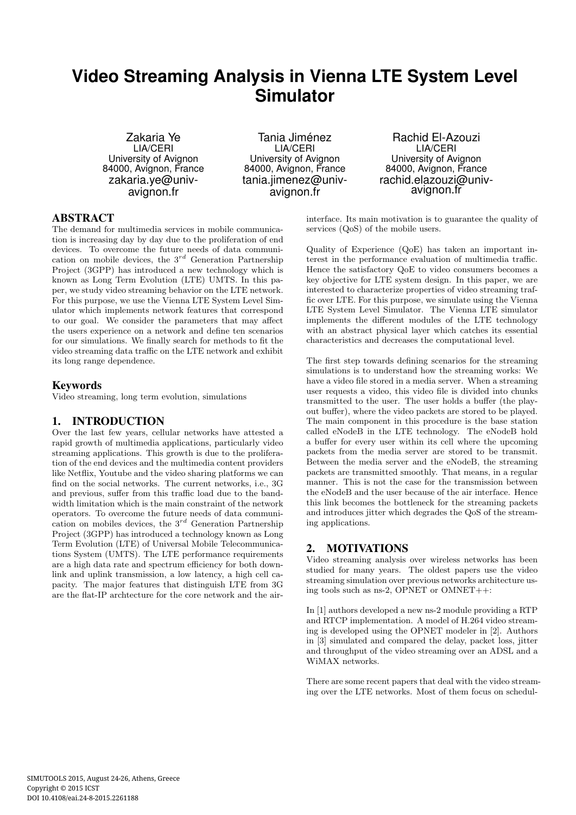# **Video Streaming Analysis in Vienna LTE System Level Simulator**

Zakaria Ye LIA/CERI University of Avignon 84000, Avignon, France zakaria.ye@univavignon.fr

Tania Jiménez LIA/CERI University of Avignon 84000, Avignon, France tania.jimenez@univavignon.fr

Rachid El-Azouzi LIA/CERI University of Avignon 84000, Avignon, France rachid.elazouzi@univavignon.fr

## ABSTRACT

The demand for multimedia services in mobile communication is increasing day by day due to the proliferation of end devices. To overcome the future needs of data communication on mobile devices, the  $3^{rd}$  Generation Partnership Project (3GPP) has introduced a new technology which is known as Long Term Evolution (LTE) UMTS. In this paper, we study video streaming behavior on the LTE network. For this purpose, we use the Vienna LTE System Level Simulator which implements network features that correspond to our goal. We consider the parameters that may affect the users experience on a network and define ten scenarios for our simulations. We finally search for methods to fit the video streaming data traffic on the LTE network and exhibit its long range dependence.

## Keywords

Video streaming, long term evolution, simulations

# 1. INTRODUCTION

Over the last few years, cellular networks have attested a rapid growth of multimedia applications, particularly video streaming applications. This growth is due to the proliferation of the end devices and the multimedia content providers like Netflix, Youtube and the video sharing platforms we can find on the social networks. The current networks, i.e., 3G and previous, suffer from this traffic load due to the bandwidth limitation which is the main constraint of the network operators. To overcome the future needs of data communication on mobiles devices, the  $3^{rd}$  Generation Partnership Project (3GPP) has introduced a technology known as Long Term Evolution (LTE) of Universal Mobile Telecommunications System (UMTS). The LTE performance requirements are a high data rate and spectrum efficiency for both downlink and uplink transmission, a low latency, a high cell capacity. The major features that distinguish LTE from 3G are the flat-IP archtecture for the core network and the airinterface. Its main motivation is to guarantee the quality of services (QoS) of the mobile users.

Quality of Experience (QoE) has taken an important interest in the performance evaluation of multimedia traffic. Hence the satisfactory QoE to video consumers becomes a key objective for LTE system design. In this paper, we are interested to characterize properties of video streaming traffic over LTE. For this purpose, we simulate using the Vienna LTE System Level Simulator. The Vienna LTE simulator implements the different modules of the LTE technology with an abstract physical layer which catches its essential characteristics and decreases the computational level.

The first step towards defining scenarios for the streaming simulations is to understand how the streaming works: We have a video file stored in a media server. When a streaming user requests a video, this video file is divided into chunks transmitted to the user. The user holds a buffer (the playout buffer), where the video packets are stored to be played. The main component in this procedure is the base station called eNodeB in the LTE technology. The eNodeB hold a buffer for every user within its cell where the upcoming packets from the media server are stored to be transmit. Between the media server and the eNodeB, the streaming packets are transmitted smoothly. That means, in a regular manner. This is not the case for the transmission between the eNodeB and the user because of the air interface. Hence this link becomes the bottleneck for the streaming packets and introduces jitter which degrades the QoS of the streaming applications.

# 2. MOTIVATIONS

Video streaming analysis over wireless networks has been studied for many years. The oldest papers use the video streaming simulation over previous networks architecture using tools such as ns-2, OPNET or OMNET++:

In [1] authors developed a new ns-2 module providing a RTP and RTCP implementation. A model of H.264 video streaming is developed using the OPNET modeler in [2]. Authors in [3] simulated and compared the delay, packet loss, jitter and throughput of the video streaming over an ADSL and a WiMAX networks.

There are some recent papers that deal with the video streaming over the LTE networks. Most of them focus on schedul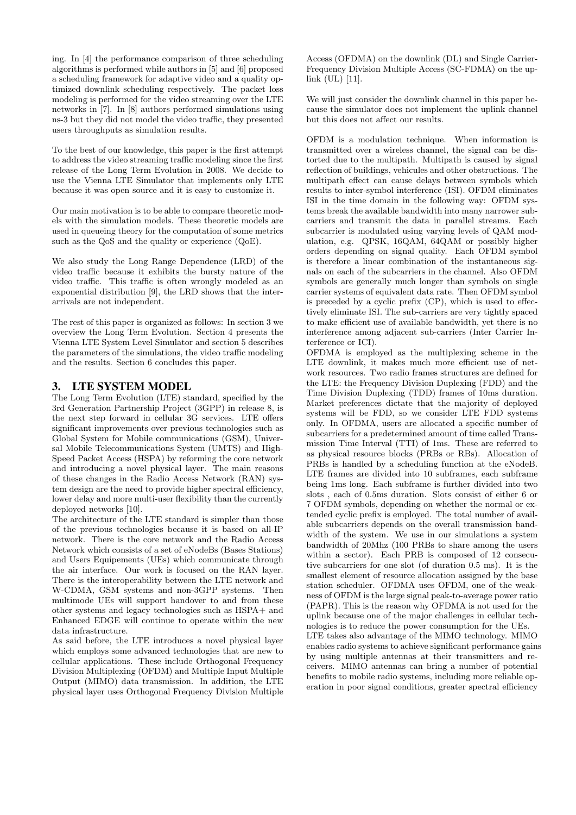ing. In [4] the performance comparison of three scheduling algorithms is performed while authors in [5] and [6] proposed a scheduling framework for adaptive video and a quality optimized downlink scheduling respectively. The packet loss modeling is performed for the video streaming over the LTE networks in [7]. In [8] authors performed simulations using ns-3 but they did not model the video traffic, they presented users throughputs as simulation results.

To the best of our knowledge, this paper is the first attempt to address the video streaming traffic modeling since the first release of the Long Term Evolution in 2008. We decide to use the Vienna LTE Simulator that implements only LTE because it was open source and it is easy to customize it.

Our main motivation is to be able to compare theoretic models with the simulation models. These theoretic models are used in queueing theory for the computation of some metrics such as the QoS and the quality or experience (QoE).

We also study the Long Range Dependence (LRD) of the video traffic because it exhibits the bursty nature of the video traffic. This traffic is often wrongly modeled as an exponential distribution [9], the LRD shows that the interarrivals are not independent.

The rest of this paper is organized as follows: In section 3 we overview the Long Term Evolution. Section 4 presents the Vienna LTE System Level Simulator and section 5 describes the parameters of the simulations, the video traffic modeling and the results. Section 6 concludes this paper.

## 3. LTE SYSTEM MODEL

The Long Term Evolution (LTE) standard, specified by the 3rd Generation Partnership Project (3GPP) in release 8, is the next step forward in cellular 3G services. LTE offers significant improvements over previous technologies such as Global System for Mobile communications (GSM), Universal Mobile Telecommunications System (UMTS) and High-Speed Packet Access (HSPA) by reforming the core network and introducing a novel physical layer. The main reasons of these changes in the Radio Access Network (RAN) system design are the need to provide higher spectral efficiency, lower delay and more multi-user flexibility than the currently deployed networks [10].

The architecture of the LTE standard is simpler than those of the previous technologies because it is based on all-IP network. There is the core network and the Radio Access Network which consists of a set of eNodeBs (Bases Stations) and Users Equipements (UEs) which communicate through the air interface. Our work is focused on the RAN layer. There is the interoperability between the LTE network and W-CDMA, GSM systems and non-3GPP systems. Then multimode UEs will support handover to and from these other systems and legacy technologies such as HSPA+ and Enhanced EDGE will continue to operate within the new data infrastructure.

As said before, the LTE introduces a novel physical layer which employs some advanced technologies that are new to cellular applications. These include Orthogonal Frequency Division Multiplexing (OFDM) and Multiple Input Multiple Output (MIMO) data transmission. In addition, the LTE physical layer uses Orthogonal Frequency Division Multiple

Access (OFDMA) on the downlink (DL) and Single Carrier-Frequency Division Multiple Access (SC-FDMA) on the uplink (UL) [11].

We will just consider the downlink channel in this paper because the simulator does not implement the uplink channel but this does not affect our results.

OFDM is a modulation technique. When information is transmitted over a wireless channel, the signal can be distorted due to the multipath. Multipath is caused by signal reflection of buildings, vehicules and other obstructions. The multipath effect can cause delays between symbols which results to inter-symbol interference (ISI). OFDM eliminates ISI in the time domain in the following way: OFDM systems break the available bandwidth into many narrower subcarriers and transmit the data in parallel streams. Each subcarrier is modulated using varying levels of QAM modulation, e.g. QPSK, 16QAM, 64QAM or possibly higher orders depending on signal quality. Each OFDM symbol is therefore a linear combination of the instantaneous signals on each of the subcarriers in the channel. Also OFDM symbols are generally much longer than symbols on single carrier systems of equivalent data rate. Then OFDM symbol is preceded by a cyclic prefix (CP), which is used to effectively eliminate ISI. The sub-carriers are very tightly spaced to make efficient use of available bandwidth, yet there is no interference among adjacent sub-carriers (Inter Carrier Interference or ICI).

OFDMA is employed as the multiplexing scheme in the LTE downlink, it makes much more efficient use of network resources. Two radio frames structures are defined for the LTE: the Frequency Division Duplexing (FDD) and the Time Division Duplexing (TDD) frames of 10ms duration. Market preferences dictate that the majority of deployed systems will be FDD, so we consider LTE FDD systems only. In OFDMA, users are allocated a specific number of subcarriers for a predetermined amount of time called Transmission Time Interval (TTI) of 1ms. These are referred to as physical resource blocks (PRBs or RBs). Allocation of PRBs is handled by a scheduling function at the eNodeB. LTE frames are divided into 10 subframes, each subframe being 1ms long. Each subframe is further divided into two slots , each of 0.5ms duration. Slots consist of either 6 or 7 OFDM symbols, depending on whether the normal or extended cyclic prefix is employed. The total number of available subcarriers depends on the overall transmission bandwidth of the system. We use in our simulations a system bandwidth of 20Mhz (100 PRBs to share among the users within a sector). Each PRB is composed of 12 consecutive subcarriers for one slot (of duration 0.5 ms). It is the smallest element of resource allocation assigned by the base station scheduler. OFDMA uses OFDM, one of the weakness of OFDM is the large signal peak-to-average power ratio (PAPR). This is the reason why OFDMA is not used for the uplink because one of the major challenges in cellular technologies is to reduce the power consumption for the UEs.

LTE takes also advantage of the MIMO technology. MIMO enables radio systems to achieve significant performance gains by using multiple antennas at their transmitters and receivers. MIMO antennas can bring a number of potential benefits to mobile radio systems, including more reliable operation in poor signal conditions, greater spectral efficiency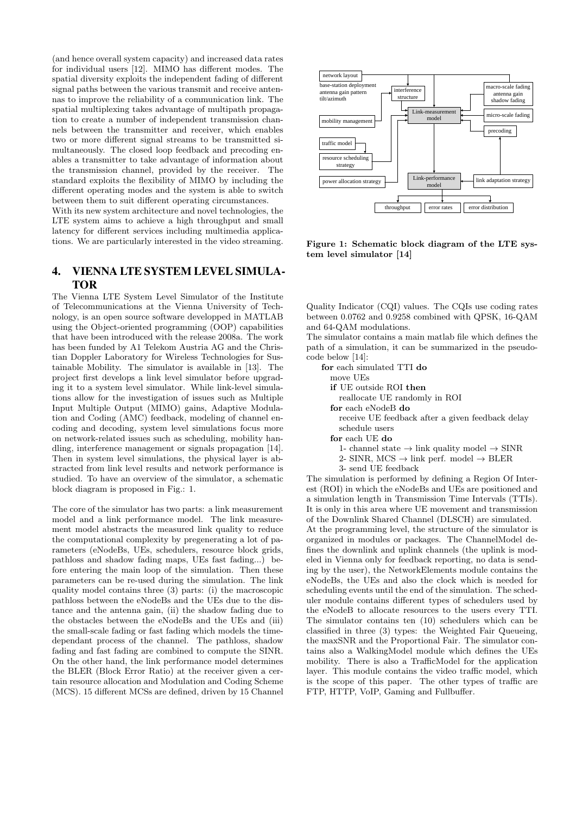(and hence overall system capacity) and increased data rates for individual users [12]. MIMO has different modes. The spatial diversity exploits the independent fading of different signal paths between the various transmit and receive antennas to improve the reliability of a communication link. The spatial multiplexing takes advantage of multipath propagation to create a number of independent transmission channels between the transmitter and receiver, which enables two or more different signal streams to be transmitted simultaneously. The closed loop feedback and precoding enables a transmitter to take advantage of information about the transmission channel, provided by the receiver. The standard exploits the flexibility of MIMO by including the different operating modes and the system is able to switch between them to suit different operating circumstances.

With its new system architecture and novel technologies, the LTE system aims to achieve a high throughput and small latency for different services including multimedia applications. We are particularly interested in the video streaming.

# 4. VIENNA LTE SYSTEM LEVEL SIMULA-TOR

The Vienna LTE System Level Simulator of the Institute of Telecommunications at the Vienna University of Technology, is an open source software developped in MATLAB using the Object-oriented programming (OOP) capabilities that have been introduced with the release 2008a. The work has been funded by A1 Telekom Austria AG and the Christian Doppler Laboratory for Wireless Technologies for Sustainable Mobility. The simulator is available in [13]. The project first develops a link level simulator before upgrading it to a system level simulator. While link-level simulations allow for the investigation of issues such as Multiple Input Multiple Output (MIMO) gains, Adaptive Modulation and Coding (AMC) feedback, modeling of channel encoding and decoding, system level simulations focus more on network-related issues such as scheduling, mobility handling, interference management or signals propagation [14]. Then in system level simulations, the physical layer is abstracted from link level results and network performance is studied. To have an overview of the simulator, a schematic block diagram is proposed in Fig.: 1.

The core of the simulator has two parts: a link measurement model and a link performance model. The link measurement model abstracts the measured link quality to reduce the computational complexity by pregenerating a lot of parameters (eNodeBs, UEs, schedulers, resource block grids, pathloss and shadow fading maps, UEs fast fading...) before entering the main loop of the simulation. Then these parameters can be re-used during the simulation. The link quality model contains three (3) parts: (i) the macroscopic pathloss between the eNodeBs and the UEs due to the distance and the antenna gain, (ii) the shadow fading due to the obstacles between the eNodeBs and the UEs and (iii) the small-scale fading or fast fading which models the timedependant process of the channel. The pathloss, shadow fading and fast fading are combined to compute the SINR. On the other hand, the link performance model determines the BLER (Block Error Ratio) at the receiver given a certain resource allocation and Modulation and Coding Scheme (MCS). 15 different MCSs are defined, driven by 15 Channel



Figure 1: Schematic block diagram of the LTE system level simulator [14]

Quality Indicator (CQI) values. The CQIs use coding rates between 0.0762 and 0.9258 combined with QPSK, 16-QAM and 64-QAM modulations.

The simulator contains a main matlab file which defines the path of a simulation, it can be summarized in the pseudocode below [14]:

for each simulated TTI do move UEs if UE outside ROI then reallocate UE randomly in ROI for each eNodeB do receive UE feedback after a given feedback delay schedule users for each UE do 1- channel state  $\rightarrow$  link quality model  $\rightarrow$  SINR 2- SINR, MCS  $\rightarrow$  link perf. model  $\rightarrow$  BLER 3- send UE feedback

The simulation is performed by defining a Region Of Interest (ROI) in which the eNodeBs and UEs are positioned and a simulation length in Transmission Time Intervals (TTIs). It is only in this area where UE movement and transmission of the Downlink Shared Channel (DLSCH) are simulated. At the programming level, the structure of the simulator is organized in modules or packages. The ChannelModel defines the downlink and uplink channels (the uplink is modeled in Vienna only for feedback reporting, no data is sending by the user), the NetworkElements module contains the eNodeBs, the UEs and also the clock which is needed for scheduling events until the end of the simulation. The scheduler module contains different types of schedulers used by the eNodeB to allocate resources to the users every TTI. The simulator contains ten (10) schedulers which can be classified in three (3) types: the Weighted Fair Queueing, the maxSNR and the Proportional Fair. The simulator contains also a WalkingModel module which defines the UEs mobility. There is also a TrafficModel for the application layer. This module contains the video traffic model, which is the scope of this paper. The other types of traffic are FTP, HTTP, VoIP, Gaming and Fullbuffer.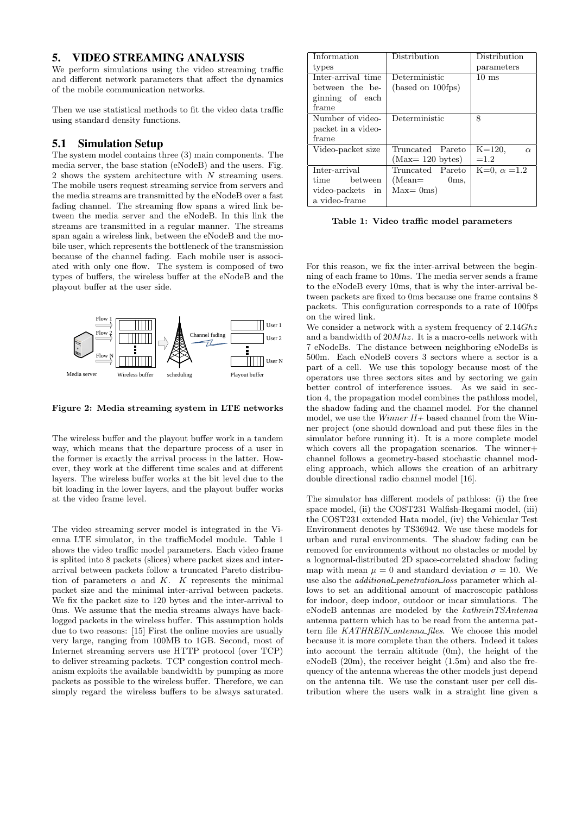#### 5. VIDEO STREAMING ANALYSIS

We perform simulations using the video streaming traffic and different network parameters that affect the dynamics of the mobile communication networks.

Then we use statistical methods to fit the video data traffic using standard density functions.

## 5.1 Simulation Setup

The system model contains three (3) main components. The media server, the base station (eNodeB) and the users. Fig. 2 shows the system architecture with N streaming users. The mobile users request streaming service from servers and the media streams are transmitted by the eNodeB over a fast fading channel. The streaming flow spans a wired link between the media server and the eNodeB. In this link the streams are transmitted in a regular manner. The streams span again a wireless link, between the eNodeB and the mobile user, which represents the bottleneck of the transmission because of the channel fading. Each mobile user is associated with only one flow. The system is composed of two types of buffers, the wireless buffer at the eNodeB and the playout buffer at the user side.



Figure 2: Media streaming system in LTE networks

The wireless buffer and the playout buffer work in a tandem way, which means that the departure process of a user in the former is exactly the arrival process in the latter. However, they work at the different time scales and at different layers. The wireless buffer works at the bit level due to the bit loading in the lower layers, and the playout buffer works at the video frame level.

The video streaming server model is integrated in the Vienna LTE simulator, in the trafficModel module. Table 1 shows the video traffic model parameters. Each video frame is splited into 8 packets (slices) where packet sizes and interarrival between packets follow a truncated Pareto distribution of parameters  $\alpha$  and K. K represents the minimal packet size and the minimal inter-arrival between packets. We fix the packet size to 120 bytes and the inter-arrival to 0ms. We assume that the media streams always have backlogged packets in the wireless buffer. This assumption holds due to two reasons: [15] First the online movies are usually very large, ranging from 100MB to 1GB. Second, most of Internet streaming servers use HTTP protocol (over TCP) to deliver streaming packets. TCP congestion control mechanism exploits the available bandwidth by pumping as more packets as possible to the wireless buffer. Therefore, we can simply regard the wireless buffers to be always saturated.

| Information        | Distribution              | Distribution           |  |  |
|--------------------|---------------------------|------------------------|--|--|
| types              |                           | parameters             |  |  |
| Inter-arrival time | Deterministic             | $10 \text{ ms}$        |  |  |
| between the be-    | (based on 100fps)         |                        |  |  |
| ginning of each    |                           |                        |  |  |
| frame              |                           |                        |  |  |
| Number of video-   | Deterministic             | 8                      |  |  |
| packet in a video- |                           |                        |  |  |
| frame              |                           |                        |  |  |
| Video-packet size  | Truncated Pareto          | $K = 120,$<br>$\alpha$ |  |  |
|                    | $(Max=120 \text{ bytes})$ | $=1.2$                 |  |  |
| Inter-arrival      | Truncated Pareto          | $K=0, \alpha =1.2$     |  |  |
| time between       | $(Mean =$<br>0ms          |                        |  |  |
| video-packets in   | $Max = 0ms$               |                        |  |  |
| a video-frame      |                           |                        |  |  |

Table 1: Video traffic model parameters

For this reason, we fix the inter-arrival between the beginning of each frame to 10ms. The media server sends a frame to the eNodeB every 10ms, that is why the inter-arrival between packets are fixed to 0ms because one frame contains 8 packets. This configuration corresponds to a rate of 100fps on the wired link.

We consider a network with a system frequency of  $2.14 Ghz$ and a bandwidth of 20Mhz. It is a macro-cells network with 7 eNodeBs. The distance between neighboring eNodeBs is 500m. Each eNodeB covers 3 sectors where a sector is a part of a cell. We use this topology because most of the operators use three sectors sites and by sectoring we gain better control of interference issues. As we said in section 4, the propagation model combines the pathloss model, the shadow fading and the channel model. For the channel model, we use the *Winner II+* based channel from the Winner project (one should download and put these files in the simulator before running it). It is a more complete model which covers all the propagation scenarios. The winner+ channel follows a geometry-based stochastic channel modeling approach, which allows the creation of an arbitrary double directional radio channel model [16].

The simulator has different models of pathloss: (i) the free space model, (ii) the COST231 Walfish-Ikegami model, (iii) the COST231 extended Hata model, (iv) the Vehicular Test Environment denotes by TS36942. We use these models for urban and rural environments. The shadow fading can be removed for environments without no obstacles or model by a lognormal-distributed 2D space-correlated shadow fading map with mean  $\mu = 0$  and standard deviation  $\sigma = 10$ . We use also the *additional penetration loss* parameter which allows to set an additional amount of macroscopic pathloss for indoor, deep indoor, outdoor or incar simulations. The eNodeB antennas are modeled by the kathreinTSAntenna antenna pattern which has to be read from the antenna pattern file KATHREIN\_antenna\_files. We choose this model because it is more complete than the others. Indeed it takes into account the terrain altitude (0m), the height of the eNodeB (20m), the receiver height (1.5m) and also the frequency of the antenna whereas the other models just depend on the antenna tilt. We use the constant user per cell distribution where the users walk in a straight line given a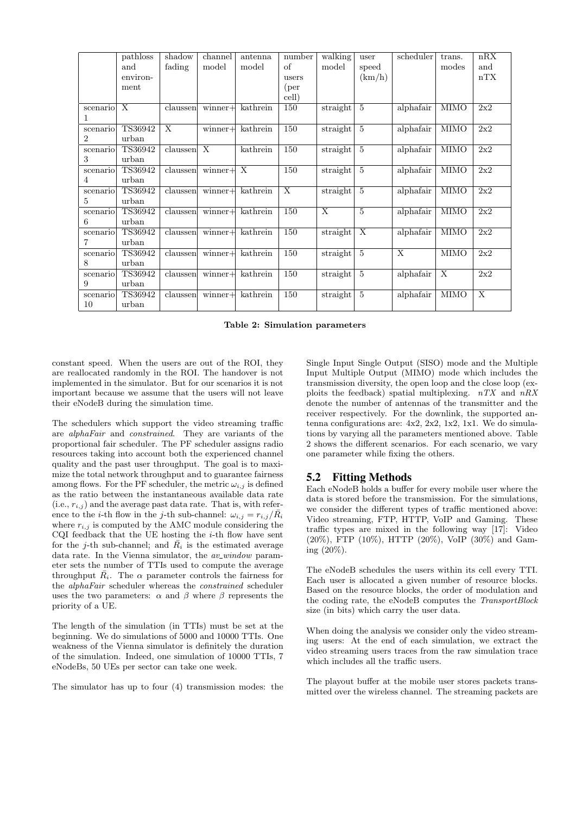|                | pathloss                | shadow   | channel                   | antenna                   | number         | walking                      | user           | scheduler      | trans.                    | nRX          |
|----------------|-------------------------|----------|---------------------------|---------------------------|----------------|------------------------------|----------------|----------------|---------------------------|--------------|
|                | and                     | fading   | model                     | model                     | οf             | model                        | speed          |                | modes                     | and          |
|                | environ-                |          |                           |                           | users          |                              | (km/h)         |                |                           | nTX          |
|                | ment                    |          |                           |                           | (per           |                              |                |                |                           |              |
|                |                         |          |                           |                           | cell)          |                              |                |                |                           |              |
| scenario       | $\overline{\mathbf{X}}$ | claussen | $winner +$                | kathrein                  | 150            | straight                     | $\overline{5}$ | alphafair      | <b>MIMO</b>               | 2x2          |
|                |                         |          |                           |                           |                |                              |                |                |                           |              |
| scenario       | TS36942                 | X        | $winner+$                 | kathrein                  | 150            | straight                     | $\overline{5}$ | alphafair      | <b>MIMO</b>               | 2x2          |
| $\overline{2}$ | urban                   |          |                           |                           |                |                              |                |                |                           |              |
| scenario       | TS36942                 | claussen | $\boldsymbol{\mathrm{X}}$ | kathrein                  | 150            | straight                     | 5              | alphafair      | <b>MIMO</b>               | 2x2          |
| 3              | urban                   |          |                           |                           |                |                              |                |                |                           |              |
| scenario       | TS36942                 | claussen | $winner+$                 | $\boldsymbol{\mathrm{X}}$ | 150            | straight                     | $\overline{5}$ | alphafair      | <b>MIMO</b>               | 2x2          |
| 4              | urban                   |          |                           |                           |                |                              |                |                |                           |              |
| scenario       | TS36942                 | claussen | $winner +$                | kathrein                  | $\overline{X}$ | straight                     | $\overline{5}$ | alphafair      | <b>MIMO</b>               | 2x2          |
| 5              | urban                   |          |                           |                           |                |                              |                |                |                           |              |
| scenario       | TS36942                 | claussen | $winner +$                | kathrein                  | 150            | X                            | $\overline{5}$ | alphafair      | <b>MIMO</b>               | 2x2          |
| 6              | urban                   |          |                           |                           |                |                              |                |                |                           |              |
| scenario       | TS36942                 | claussen | $winner +$                | kathrein                  | 150            | straight                     | $\overline{X}$ | alphafair      | <b>MIMO</b>               | 2x2          |
| 7              | urban                   |          |                           |                           |                |                              |                |                |                           |              |
| scenario       | TS36942                 | claussen | $winner +$                | kathrein                  | 150            | straight                     | 5              | $\overline{X}$ | <b>MIMO</b>               | 2x2          |
| 8              | urban                   |          |                           |                           |                |                              |                |                |                           |              |
| scenario       | TS36942                 | claussen | $winner +$                | kathrein                  | 150            | straight                     | 5              | alphafair      | $\boldsymbol{\mathrm{X}}$ | 2x2          |
| 9              | urban                   |          |                           |                           |                |                              |                |                |                           |              |
| scenario       | TS36942                 | claussen | $winner +$                | kathrein                  | 150            | $\overline{\text{straight}}$ | $\overline{5}$ | alphafair      | <b>MIMO</b>               | $\mathbf{X}$ |
| 10             | urban                   |          |                           |                           |                |                              |                |                |                           |              |

Table 2: Simulation parameters

constant speed. When the users are out of the ROI, they are reallocated randomly in the ROI. The handover is not implemented in the simulator. But for our scenarios it is not important because we assume that the users will not leave their eNodeB during the simulation time.

The schedulers which support the video streaming traffic are alphaFair and constrained. They are variants of the proportional fair scheduler. The PF scheduler assigns radio resources taking into account both the experienced channel quality and the past user throughput. The goal is to maximize the total network throughput and to guarantee fairness among flows. For the PF scheduler, the metric  $\omega_{i,j}$  is defined as the ratio between the instantaneous available data rate  $(i.e., r_{i,j})$  and the average past data rate. That is, with reference to the *i*-th flow in the *j*-th sub-channel:  $\omega_{i,j} = r_{i,j}/\bar{R_i}$ where  $r_{i,j}$  is computed by the AMC module considering the CQI feedback that the UE hosting the  $i$ -th flow have sent for the j-th sub-channel; and  $\bar{R}_i$  is the estimated average data rate. In the Vienna simulator, the  $av\_window$  parameter sets the number of TTIs used to compute the average throughput  $\overline{R}_i$ . The  $\alpha$  parameter controls the fairness for the alphaFair scheduler whereas the constrained scheduler uses the two parameters:  $\alpha$  and  $\beta$  where  $\beta$  represents the priority of a UE.

The length of the simulation (in TTIs) must be set at the beginning. We do simulations of 5000 and 10000 TTIs. One weakness of the Vienna simulator is definitely the duration of the simulation. Indeed, one simulation of 10000 TTIs, 7 eNodeBs, 50 UEs per sector can take one week.

The simulator has up to four (4) transmission modes: the

Single Input Single Output (SISO) mode and the Multiple Input Multiple Output (MIMO) mode which includes the transmission diversity, the open loop and the close loop (exploits the feedback) spatial multiplexing.  $nTX$  and  $nRX$ denote the number of antennas of the transmitter and the receiver respectively. For the downlink, the supported antenna configurations are: 4x2, 2x2, 1x2, 1x1. We do simulations by varying all the parameters mentioned above. Table 2 shows the different scenarios. For each scenario, we vary one parameter while fixing the others.

#### 5.2 Fitting Methods

Each eNodeB holds a buffer for every mobile user where the data is stored before the transmission. For the simulations, we consider the different types of traffic mentioned above: Video streaming, FTP, HTTP, VoIP and Gaming. These traffic types are mixed in the following way [17]: Video (20%), FTP (10%), HTTP (20%), VoIP (30%) and Gaming (20%).

The eNodeB schedules the users within its cell every TTI. Each user is allocated a given number of resource blocks. Based on the resource blocks, the order of modulation and the coding rate, the eNodeB computes the TransportBlock size (in bits) which carry the user data.

When doing the analysis we consider only the video streaming users: At the end of each simulation, we extract the video streaming users traces from the raw simulation trace which includes all the traffic users.

The playout buffer at the mobile user stores packets transmitted over the wireless channel. The streaming packets are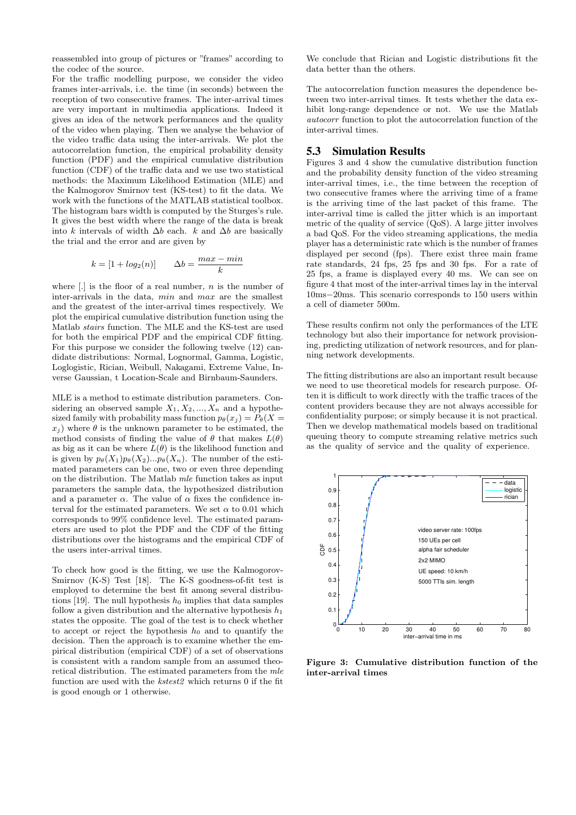reassembled into group of pictures or "frames" according to the codec of the source.

For the traffic modelling purpose, we consider the video frames inter-arrivals, i.e. the time (in seconds) between the reception of two consecutive frames. The inter-arrival times are very important in multimedia applications. Indeed it gives an idea of the network performances and the quality of the video when playing. Then we analyse the behavior of the video traffic data using the inter-arrivals. We plot the autocorrelation function, the empirical probability density function (PDF) and the empirical cumulative distribution function (CDF) of the traffic data and we use two statistical methods: the Maximum Likelihood Estimation (MLE) and the Kalmogorov Smirnov test (KS-test) to fit the data. We work with the functions of the MATLAB statistical toolbox. The histogram bars width is computed by the Sturges's rule. It gives the best width where the range of the data is break into k intervals of width  $\Delta b$  each. k and  $\Delta b$  are basically the trial and the error and are given by

$$
k = [1 + log2(n)] \qquad \Delta b = \frac{max - min}{k}
$$

where  $\left[ . \right]$  is the floor of a real number, n is the number of inter-arrivals in the data, min and max are the smallest and the greatest of the inter-arrival times respectively. We plot the empirical cumulative distribution function using the Matlab stairs function. The MLE and the KS-test are used for both the empirical PDF and the empirical CDF fitting. For this purpose we consider the following twelve (12) candidate distributions: Normal, Lognormal, Gamma, Logistic, Loglogistic, Rician, Weibull, Nakagami, Extreme Value, Inverse Gaussian, t Location-Scale and Birnbaum-Saunders.

MLE is a method to estimate distribution parameters. Considering an observed sample  $X_1, X_2, ..., X_n$  and a hypothesized family with probability mass function  $p_{\theta}(x_i) = P_{\theta}(X =$  $x_i$ ) where  $\theta$  is the unknown parameter to be estimated, the method consists of finding the value of  $\theta$  that makes  $L(\theta)$ as big as it can be where  $L(\theta)$  is the likelihood function and is given by  $p_{\theta}(X_1)p_{\theta}(X_2)...p_{\theta}(X_n)$ . The number of the estimated parameters can be one, two or even three depending on the distribution. The Matlab mle function takes as input parameters the sample data, the hypothesized distribution and a parameter  $\alpha$ . The value of  $\alpha$  fixes the confidence interval for the estimated parameters. We set  $\alpha$  to 0.01 which corresponds to 99% confidence level. The estimated parameters are used to plot the PDF and the CDF of the fitting distributions over the histograms and the empirical CDF of the users inter-arrival times.

To check how good is the fitting, we use the Kalmogorov-Smirnov (K-S) Test [18]. The K-S goodness-of-fit test is employed to determine the best fit among several distributions [19]. The null hypothesis  $h_0$  implies that data samples follow a given distribution and the alternative hypothesis  $h_1$ states the opposite. The goal of the test is to check whether to accept or reject the hypothesis  $h_0$  and to quantify the decision. Then the approach is to examine whether the empirical distribution (empirical CDF) of a set of observations is consistent with a random sample from an assumed theoretical distribution. The estimated parameters from the mle function are used with the kstest2 which returns 0 if the fit is good enough or 1 otherwise.

We conclude that Rician and Logistic distributions fit the data better than the others.

The autocorrelation function measures the dependence between two inter-arrival times. It tests whether the data exhibit long-range dependence or not. We use the Matlab autocorr function to plot the autocorrelation function of the inter-arrival times.

#### 5.3 Simulation Results

Figures 3 and 4 show the cumulative distribution function and the probability density function of the video streaming inter-arrival times, i.e., the time between the reception of two consecutive frames where the arriving time of a frame is the arriving time of the last packet of this frame. The inter-arrival time is called the jitter which is an important metric of the quality of service (QoS). A large jitter involves a bad QoS. For the video streaming applications, the media player has a deterministic rate which is the number of frames displayed per second (fps). There exist three main frame rate standards, 24 fps, 25 fps and 30 fps. For a rate of 25 fps, a frame is displayed every 40 ms. We can see on figure 4 that most of the inter-arrival times lay in the interval 10ms−20ms. This scenario corresponds to 150 users within a cell of diameter 500m.

These results confirm not only the performances of the LTE technology but also their importance for network provisioning, predicting utilization of network resources, and for planning network developments.

The fitting distributions are also an important result because we need to use theoretical models for research purpose. Often it is difficult to work directly with the traffic traces of the content providers because they are not always accessible for confidentiality purpose; or simply because it is not practical. Then we develop mathematical models based on traditional queuing theory to compute streaming relative metrics such as the quality of service and the quality of experience.



Figure 3: Cumulative distribution function of the inter-arrival times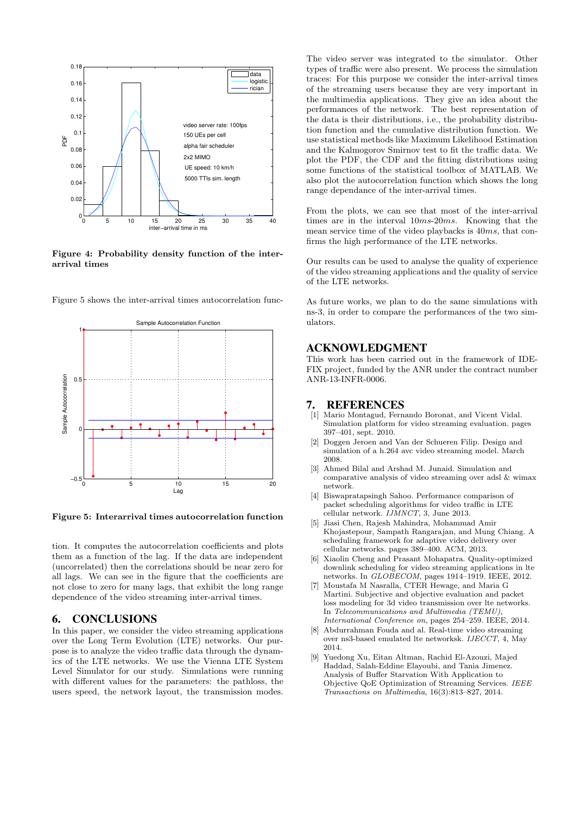

Figure 4: Probability density function of the interarrival times



Figure 5 shows the inter-arrival times autocorrelation func-

Figure 5: Interarrival times autocorrelation function

tion. It computes the autocorrelation coefficients and plots them as a function of the lag. If the data are independent (uncorrelated) then the correlations should be near zero for all lags. We can see in the figure that the coefficients are not close to zero for many lags, that exhibit the long range dependence of the video streaming inter-arrival times.

#### 6. CONCLUSIONS

In this paper, we consider the video streaming applications over the Long Term Evolution (LTE) networks. Our purpose is to analyze the video traffic data through the dynamics of the LTE networks. We use the Vienna LTE System Level Simulator for our study. Simulations were running with different values for the parameters: the pathloss, the users speed, the network layout, the transmission modes.

The video server was integrated to the simulator. Other types of traffic were also present. We process the simulation traces: For this purpose we consider the inter-arrival times of the streaming users because they are very important in the multimedia applications. They give an idea about the performances of the network. The best representation of the data is their distributions, i.e., the probability distribution function and the cumulative distribution function. We use statistical methods like Maximum Likelihood Estimation and the Kalmogorov Smirnov test to fit the traffic data. We plot the PDF, the CDF and the fitting distributions using some functions of the statistical toolbox of MATLAB. We also plot the autocorrelation function which shows the long range dependance of the inter-arrival times.

From the plots, we can see that most of the inter-arrival times are in the interval 10ms-20ms. Knowing that the mean service time of the video playbacks is 40ms, that confirms the high performance of the LTE networks.

Our results can be used to analyse the quality of experience of the video streaming applications and the quality of service of the LTE networks.

As future works, we plan to do the same simulations with ns-3, in order to compare the performances of the two simulators.

#### ACKNOWLEDGMENT

This work has been carried out in the framework of IDE-FIX project, funded by the ANR under the contract number ANR-13-INFR-0006.

#### 7. REFERENCES

- [1] Mario Montagud, Fernando Boronat, and Vicent Vidal. Simulation platform for video streaming evaluation. pages 397–401, sept. 2010.
- [2] Doggen Jeroen and Van der Schueren Filip. Design and simulation of a h.264 avc video streaming model. March 2008.
- [3] Ahmed Bilal and Arshad M. Junaid. Simulation and comparative analysis of video streaming over adsl & wimax network.
- [4] Biswapratapsingh Sahoo. Performance comparison of packet scheduling algorithms for video traffic in LTE cellular network. IJMNCT, 3, June 2013.
- [5] Jiasi Chen, Rajesh Mahindra, Mohammad Amir Khojastepour, Sampath Rangarajan, and Mung Chiang. A scheduling framework for adaptive video delivery over cellular networks. pages 389–400. ACM, 2013.
- [6] Xiaolin Cheng and Prasant Mohapatra. Quality-optimized downlink scheduling for video streaming applications in lte networks. In  $GLOBECOM$ , pages 1914–1919. IEEE, 2012.
- [7] Moustafa M Nasralla, CTER Hewage, and Maria G Martini. Subjective and objective evaluation and packet loss modeling for 3d video transmission over lte networks. In Telecommunications and Multimedia (TEMU), International Conference on, pages 254–259. IEEE, 2014.
- [8] Abdurrahman Fouda and al. Real-time video streaming over ns3-based emulated lte networksk. IJECCT, 4, May 2014.
- [9] Yuedong Xu, Eitan Altman, Rachid El-Azouzi, Majed Haddad, Salah-Eddine Elayoubi, and Tania Jimenez. Analysis of Buffer Starvation With Application to Objective QoE Optimization of Streaming Services. IEEE Transactions on Multimedia, 16(3):813–827, 2014.